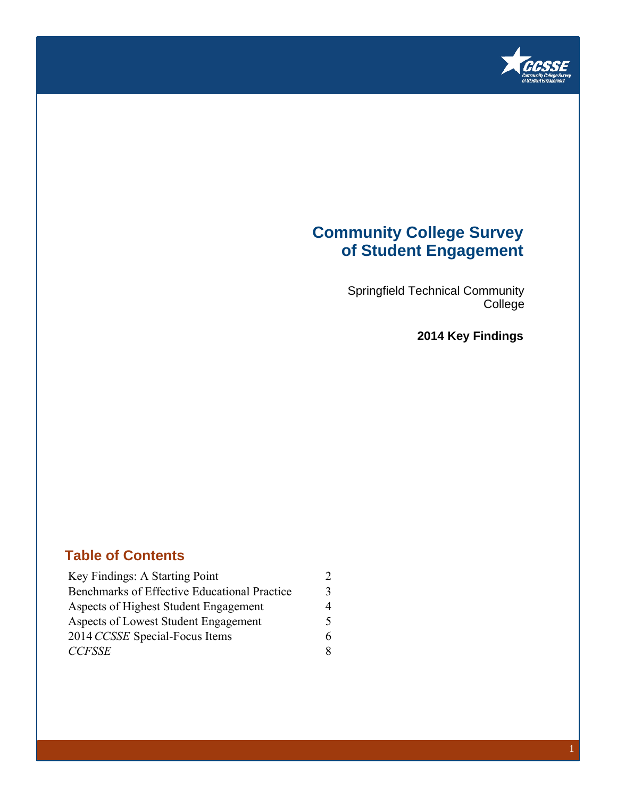

## **Community College Survey of Student Engagement**

Springfield Technical Community College

**2014 Key Findings**

### **Table of Contents**

| Key Findings: A Starting Point               | $\mathcal{D}$ |
|----------------------------------------------|---------------|
| Benchmarks of Effective Educational Practice | 3             |
| Aspects of Highest Student Engagement        | 4             |
| Aspects of Lowest Student Engagement         | 5             |
| 2014 CCSSE Special-Focus Items               | 6             |
| <b>CCFSSE</b>                                | 8             |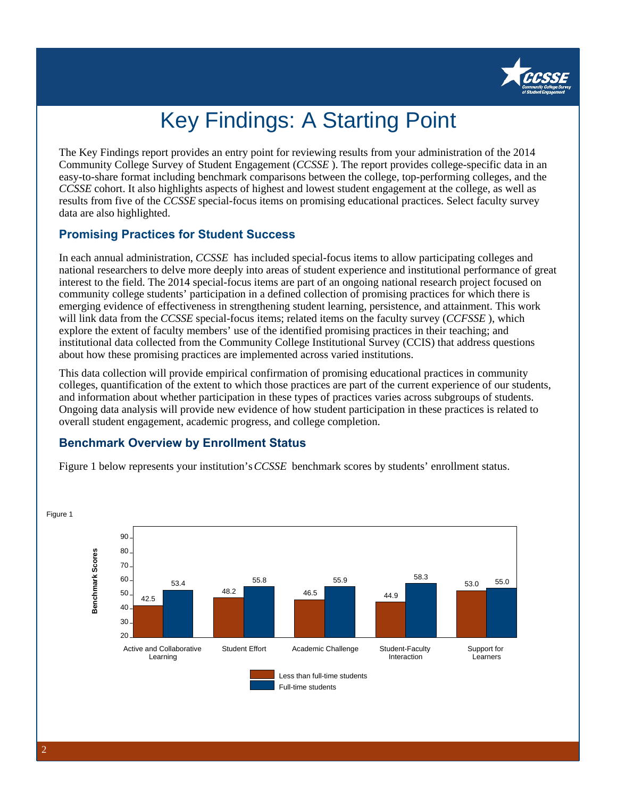

# Key Findings: A Starting Point

The Key Findings report provides an entry point for reviewing results from your administration of the 2014 Community College Survey of Student Engagement (*CCSSE* ). The report provides college-specific data in an easy-to-share format including benchmark comparisons between the college, top-performing colleges, and the *CCSSE* cohort. It also highlights aspects of highest and lowest student engagement at the college, as well as results from five of the *CCSSE* special-focus items on promising educational practices. Select faculty survey data are also highlighted.

### **Promising Practices for Student Success**

In each annual administration, *CCSSE* has included special-focus items to allow participating colleges and national researchers to delve more deeply into areas of student experience and institutional performance of great interest to the field. The 2014 special-focus items are part of an ongoing national research project focused on community college students' participation in a defined collection of promising practices for which there is emerging evidence of effectiveness in strengthening student learning, persistence, and attainment. This work will link data from the *CCSSE* special-focus items; related items on the faculty survey (*CCFSSE* ), which explore the extent of faculty members' use of the identified promising practices in their teaching; and institutional data collected from the Community College Institutional Survey (CCIS) that address questions about how these promising practices are implemented across varied institutions.

This data collection will provide empirical confirmation of promising educational practices in community colleges, quantification of the extent to which those practices are part of the current experience of our students, and information about whether participation in these types of practices varies across subgroups of students. Ongoing data analysis will provide new evidence of how student participation in these practices is related to overall student engagement, academic progress, and college completion.

### **Benchmark Overview by Enrollment Status**

Figure 1 below represents your institution's *CCSSE* benchmark scores by students' enrollment status.



2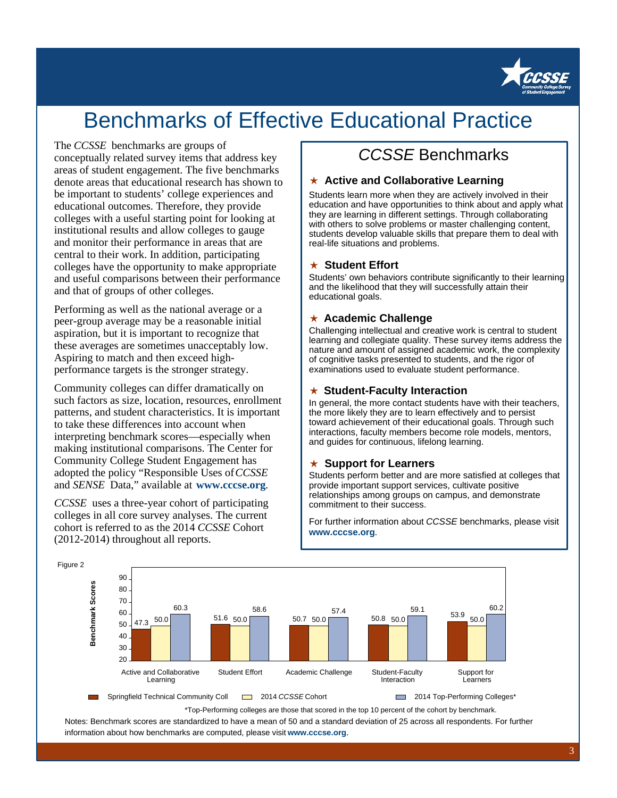

## Benchmarks of Effective Educational Practice

#### The *CCSSE* benchmarks are groups of

conceptually related survey items that address key areas of student engagement. The five benchmarks denote areas that educational research has shown to be important to students' college experiences and educational outcomes. Therefore, they provide colleges with a useful starting point for looking at institutional results and allow colleges to gauge and monitor their performance in areas that are central to their work. In addition, participating colleges have the opportunity to make appropriate and useful comparisons between their performance and that of groups of other colleges.

Performing as well as the national average or a peer-group average may be a reasonable initial aspiration, but it is important to recognize that these averages are sometimes unacceptably low. Aspiring to match and then exceed highperformance targets is the stronger strategy.

Community colleges can differ dramatically on such factors as size, location, resources, enrollment patterns, and student characteristics. It is important to take these differences into account when interpreting benchmark scores—especially when making institutional comparisons. The Center for Community College Student Engagement has adopted the policy "Responsible Uses of *CCSSE* and *SENSE* Data," available at **www.cccse.org**.

*CCSSE* uses a three-year cohort of participating colleges in all core survey analyses. The current cohort is referred to as the 2014 *CCSSE* Cohort (2012-2014) throughout all reports.

## CCSSE Benchmarks

#### ★ **Active and Collaborative Learning**

Students learn more when they are actively involved in their education and have opportunities to think about and apply what they are learning in different settings. Through collaborating with others to solve problems or master challenging content, students develop valuable skills that prepare them to deal with real-life situations and problems.

#### ★ **Student Effort**

Students' own behaviors contribute significantly to their learning and the likelihood that they will successfully attain their educational goals.

### ★ **Academic Challenge**

Challenging intellectual and creative work is central to student learning and collegiate quality. These survey items address the nature and amount of assigned academic work, the complexity of cognitive tasks presented to students, and the rigor of examinations used to evaluate student performance.

#### ★ **Student-Faculty Interaction**

In general, the more contact students have with their teachers, the more likely they are to learn effectively and to persist toward achievement of their educational goals. Through such interactions, faculty members become role models, mentors, and guides for continuous, lifelong learning.

#### ★ **Support for Learners**

Students perform better and are more satisfied at colleges that provide important support services, cultivate positive relationships among groups on campus, and demonstrate commitment to their success.

For further information about CCSSE benchmarks, please visit **www.cccse.org**.



\*Top-Performing colleges are those that scored in the top 10 percent of the cohort by benchmark. Notes: Benchmark scores are standardized to have a mean of 50 and a standard deviation of 25 across all respondents. For further information about how benchmarks are computed, please visit **www.cccse.org**.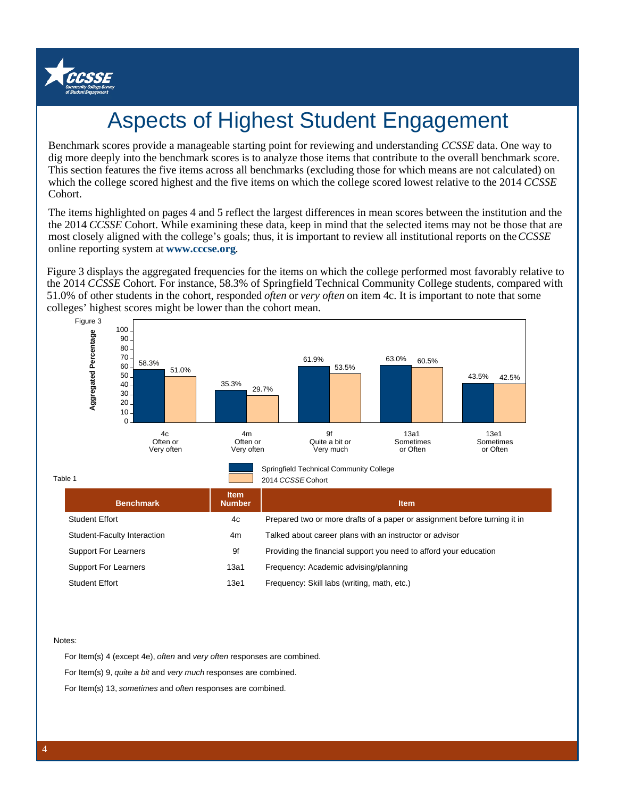

# Aspects of Highest Student Engagement

Benchmark scores provide a manageable starting point for reviewing and understanding *CCSSE* data. One way to dig more deeply into the benchmark scores is to analyze those items that contribute to the overall benchmark score. This section features the five items across all benchmarks (excluding those for which means are not calculated) on which the college scored highest and the five items on which the college scored lowest relative to the 2014 *CCSSE* Cohort.

The items highlighted on pages 4 and 5 reflect the largest differences in mean scores between the institution and the the 2014 *CCSSE* Cohort. While examining these data, keep in mind that the selected items may not be those that are most closely aligned with the college's goals; thus, it is important to review all institutional reports on the *CCSSE* online reporting system at **www.cccse.org**.

Figure 3 displays the aggregated frequencies for the items on which the college performed most favorably relative to the 2014 *CCSSE* Cohort. For instance, 58.3% of Springfield Technical Community College students, compared with 51.0% of other students in the cohort, responded *often* or *very often* on item 4c. It is important to note that some colleges' highest scores might be lower than the cohort mean.



| <b>Benchmark</b>            | <b>Item</b><br><b>Number</b> | <b>Item</b>                                                               |
|-----------------------------|------------------------------|---------------------------------------------------------------------------|
| <b>Student Effort</b>       | 4c                           | Prepared two or more drafts of a paper or assignment before turning it in |
| Student-Faculty Interaction | 4m                           | Talked about career plans with an instructor or advisor                   |
| <b>Support For Learners</b> | 9f                           | Providing the financial support you need to afford your education         |
| <b>Support For Learners</b> | 13a1                         | Frequency: Academic advising/planning                                     |
| <b>Student Effort</b>       | 13e1                         | Frequency: Skill labs (writing, math, etc.)                               |

Notes:

For Item(s) 4 (except 4e), often and very often responses are combined.

For Item(s) 9, quite a bit and very much responses are combined.

For Item(s) 13, sometimes and often responses are combined.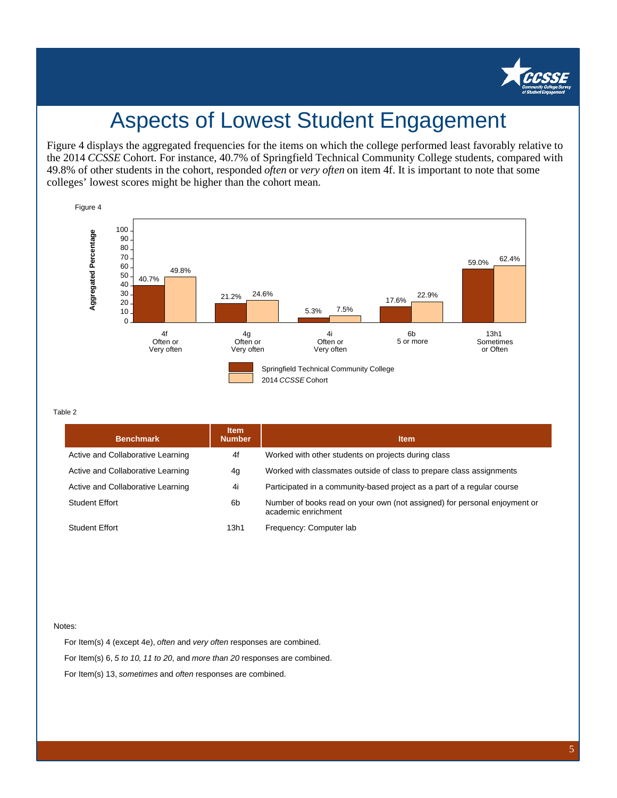

## Aspects of Lowest Student Engagement

Figure 4 displays the aggregated frequencies for the items on which the college performed least favorably relative to the 2014 *CCSSE* Cohort. For instance, 40.7% of Springfield Technical Community College students, compared with 49.8% of other students in the cohort, responded *often* or *very often* on item 4f. It is important to note that some colleges' lowest scores might be higher than the cohort mean.



#### Table 2

| <b>Benchmark</b>                  | <b>Item</b><br><b>Number</b> | <b>Item</b>                                                                                      |
|-----------------------------------|------------------------------|--------------------------------------------------------------------------------------------------|
| Active and Collaborative Learning | 4f                           | Worked with other students on projects during class                                              |
| Active and Collaborative Learning | 4g                           | Worked with classmates outside of class to prepare class assignments                             |
| Active and Collaborative Learning | 4i                           | Participated in a community-based project as a part of a regular course                          |
| <b>Student Effort</b>             | 6b                           | Number of books read on your own (not assigned) for personal enjoyment or<br>academic enrichment |
| Student Effort                    | 13h1                         | Frequency: Computer lab                                                                          |

#### Notes:

For Item(s) 4 (except 4e), often and very often responses are combined. For Item(s) 6, 5 to 10, 11 to 20, and more than 20 responses are combined. For Item(s) 13, sometimes and often responses are combined.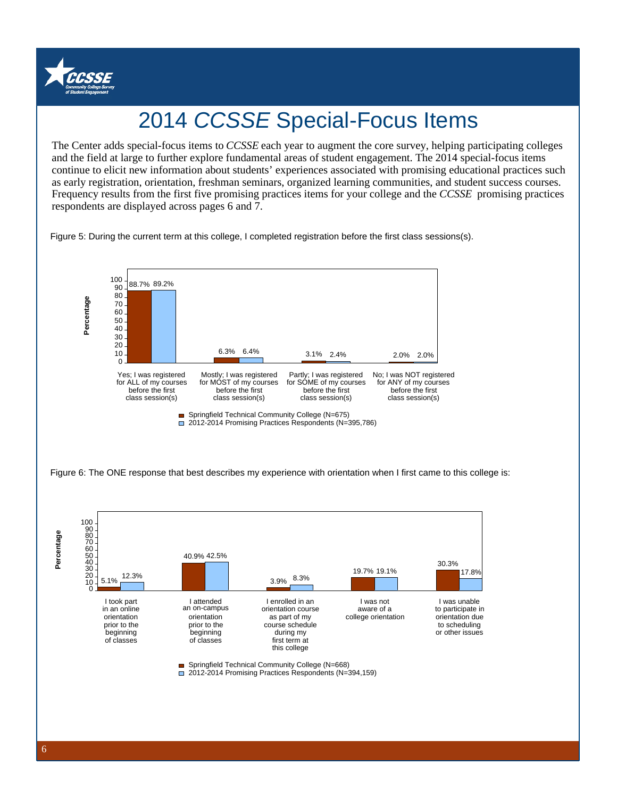

# 2014 CCSSE Special-Focus Items

and the field at large to further explore fundamental areas of student engagement. The 2014 special-focus items The Center adds special-focus items to *CCSSE* each year to augment the core survey, helping participating colleges continue to elicit new information about students' experiences associated with promising educational practices such as early registration, orientation, freshman seminars, organized learning communities, and student success courses. Frequency results from the first five promising practices items for your college and the *CCSSE* promising practices respondents are displayed across pages 6 and 7.

Figure 5: During the current term at this college, I completed registration before the first class sessions(s).



Figure 6: The ONE response that best describes my experience with orientation when I first came to this college is: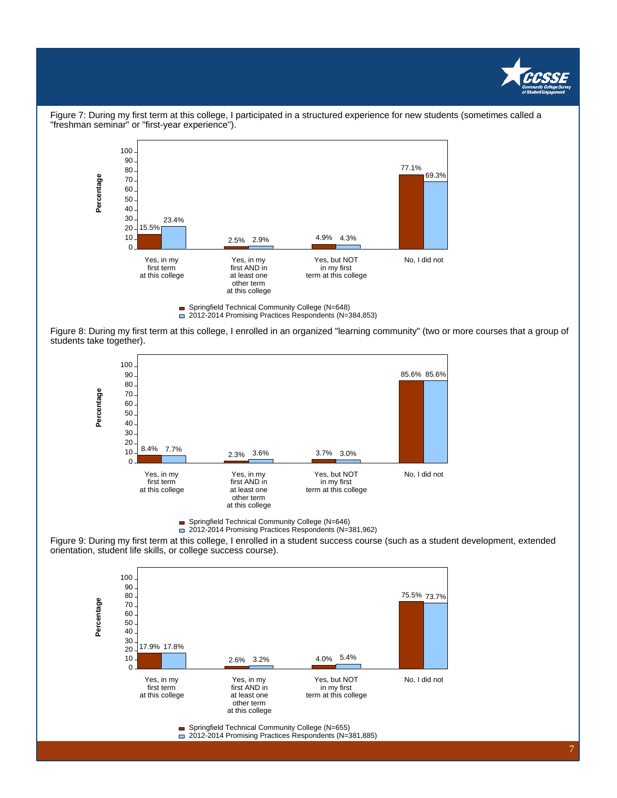



Figure 7: During my first term at this college, I participated in a structured experience for new students (sometimes called a "freshman seminar" or "first-year experience").

Figure 8: During my first term at this college, I enrolled in an organized "learning community" (two or more courses that a group of students take together).



Springfield Technical Community College (N=646)

2012-2014 Promising Practices Respondents (N=381,962)

Figure 9: During my first term at this college, I enrolled in a student success course (such as a student development, extended orientation, student life skills, or college success course).



- Springfield Technical Community College (N=655)
- 2012-2014 Promising Practices Respondents (N=381,885)